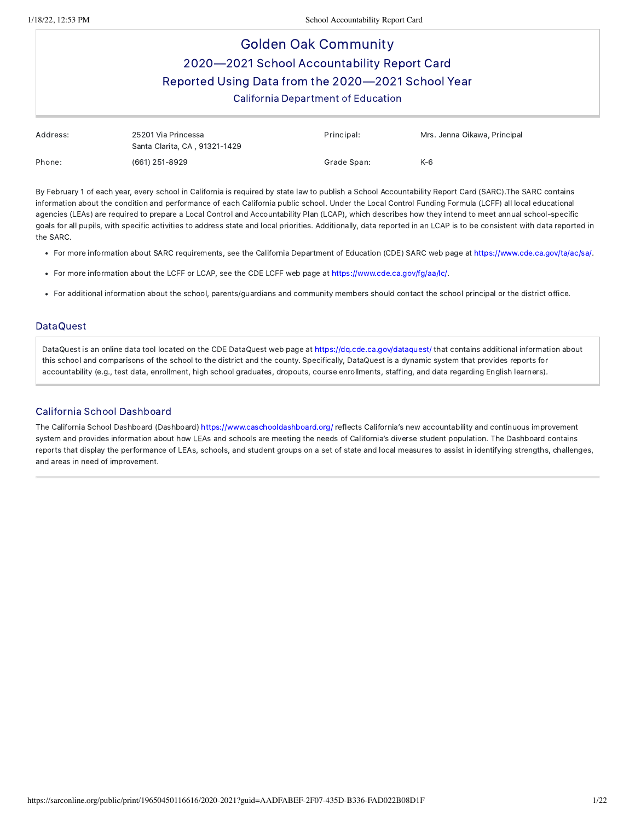# Golden Oak Community 2020—2021 School Accountability Report Card Reported Using Data from the 2020—2021 School Year California Department of Education

| Address: | 25201 Via Princessa<br>Santa Clarita, CA, 91321-1429 | Principal:  | Mrs. Jenna Oikawa, Principal |
|----------|------------------------------------------------------|-------------|------------------------------|
| Phone:   | (661) 251-8929                                       | Grade Span: | K-6                          |

By February 1 of each year, every school in California is required by state law to publish a School Accountability Report Card (SARC).The SARC contains information about the condition and performance of each California public school. Under the Local Control Funding Formula (LCFF) all local educational agencies (LEAs) are required to prepare a Local Control and Accountability Plan (LCAP), which describes how they intend to meet annual school-specific goals for all pupils, with specific activities to address state and local priorities. Additionally, data reported in an LCAP is to be consistent with data reported in the SARC.

- For more information about SARC requirements, see the California Department of Education (CDE) SARC web page at <https://www.cde.ca.gov/ta/ac/sa/>.
- For more information about the LCFF or LCAP, see the CDE LCFF web page at [https://www.cde.ca.gov/fg/aa/lc/.](https://www.cde.ca.gov/fg/aa/lc/)
- For additional information about the school, parents/guardians and community members should contact the school principal or the district office.

#### DataQuest

DataQuest is an online data tool located on the CDE DataQuest web page at <https://dq.cde.ca.gov/dataquest/> that contains additional information about this school and comparisons of the school to the district and the county. Specifically, DataQuest is a dynamic system that provides reports for accountability (e.g., test data, enrollment, high school graduates, dropouts, course enrollments, staffing, and data regarding English learners).

#### California School Dashboard

The California School Dashboard (Dashboard) <https://www.caschooldashboard.org/> reflects California's new accountability and continuous improvement system and provides information about how LEAs and schools are meeting the needs of California's diverse student population. The Dashboard contains reports that display the performance of LEAs, schools, and student groups on a set of state and local measures to assist in identifying strengths, challenges, and areas in need of improvement.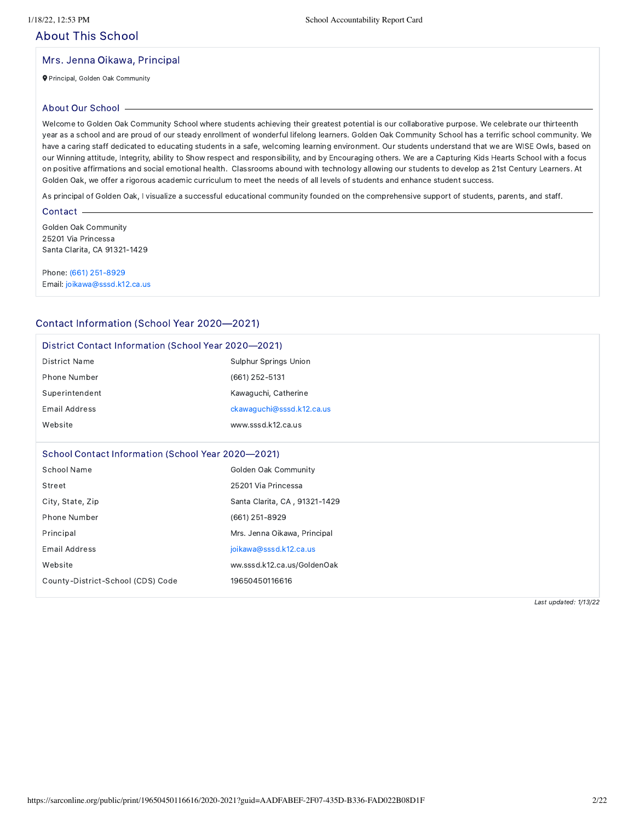# About This School

#### Mrs. Jenna Oikawa, Principal

Principal, Golden Oak Community

#### About Our School

Welcome to Golden Oak Community School where students achieving their greatest potential is our collaborative purpose. We celebrate our thirteenth year as a school and are proud of our steady enrollment of wonderful lifelong learners. Golden Oak Community School has a terrific school community. We have a caring staff dedicated to educating students in a safe, welcoming learning environment. Our students understand that we are WISE Owls, based on our Winning attitude, Integrity, ability to Show respect and responsibility, and by Encouraging others. We are a Capturing Kids Hearts School with a focus on positive affirmations and social emotional health. Classrooms abound with technology allowing our students to develop as 21st Century Learners. At Golden Oak, we offer a rigorous academic curriculum to meet the needs of all levels of students and enhance student success.

As principal of Golden Oak, I visualize a successful educational community founded on the comprehensive support of students, parents, and staff.

#### Contact -

Golden Oak Community 25201 Via Princessa Santa Clarita, CA 91321-1429

Phone: (661) [251-8929](tel:(661) 251-8929) Email: [joikawa@sssd.k12.ca.us](mailto:joikawa@sssd.k12.ca.us)

#### Contact Information (School Year 2020—2021)

| District Contact Information (School Year 2020–2021) |                               |
|------------------------------------------------------|-------------------------------|
| <b>District Name</b>                                 | <b>Sulphur Springs Union</b>  |
| Phone Number                                         | (661) 252-5131                |
| Superintendent                                       | Kawaguchi, Catherine          |
| <b>Email Address</b>                                 | ckawaguchi@sssd.k12.ca.us     |
| Website                                              | www.sssd.k12.ca.us            |
| School Contact Information (School Year 2020–2021)   |                               |
| School Name                                          | Golden Oak Community          |
| Street                                               | 25201 Via Princessa           |
| City, State, Zip                                     | Santa Clarita, CA, 91321-1429 |
| Phone Number                                         | (661) 251-8929                |
| Principal                                            | Mrs. Jenna Oikawa, Principal  |
| <b>Email Address</b>                                 | joikawa@sssd.k12.ca.us        |
| Website                                              | ww.sssd.k12.ca.us/GoldenOak   |
| County-District-School (CDS) Code                    | 19650450116616                |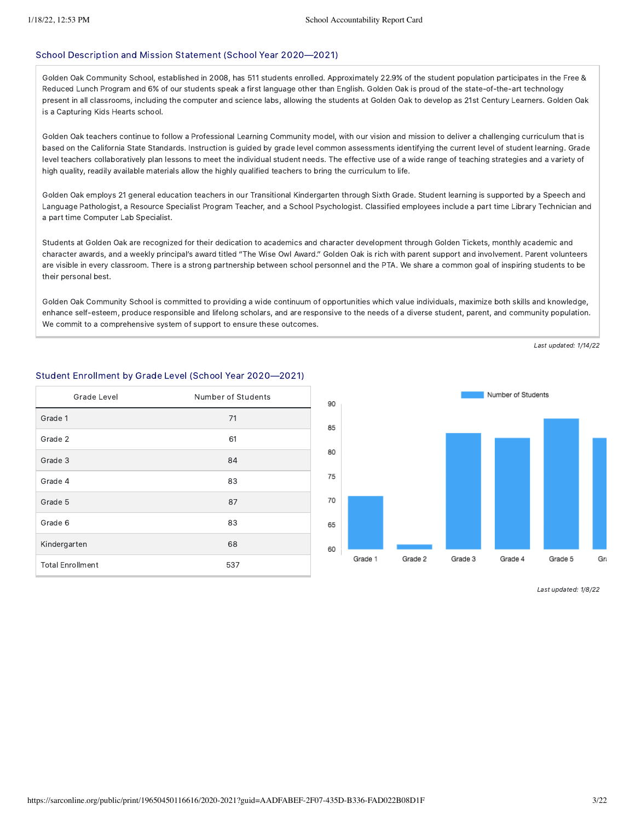#### School Description and Mission Statement (School Year 2020—2021)

Golden Oak Community School, established in 2008, has 511 students enrolled. Approximately 22.9% of the student population participates in the Free & Reduced Lunch Program and 6% of our students speak a first language other than English. Golden Oak is proud of the state-of-the-art technology present in all classrooms, including the computer and science labs, allowing the students at Golden Oak to develop as 21st Century Learners. Golden Oak is a Capturing Kids Hearts school.

Golden Oak teachers continue to follow a Professional Learning Community model, with our vision and mission to deliver a challenging curriculum that is based on the California State Standards. Instruction is guided by grade level common assessments identifying the current level of student learning. Grade level teachers collaboratively plan lessons to meet the individual student needs. The effective use of a wide range of teaching strategies and a variety of high quality, readily available materials allow the highly qualified teachers to bring the curriculum to life.

Golden Oak employs 21 general education teachers in our Transitional Kindergarten through Sixth Grade. Student learning is supported by a Speech and Language Pathologist, a Resource Specialist Program Teacher, and a School Psychologist. Classified employees include a part time Library Technician and a part time Computer Lab Specialist.

Students at Golden Oak are recognized for their dedication to academics and character development through Golden Tickets, monthly academic and character awards, and a weekly principal's award titled "The Wise Owl Award." Golden Oak is rich with parent support and involvement. Parent volunteers are visible in every classroom. There is a strong partnership between school personnel and the PTA. We share a common goal of inspiring students to be their personal best.

Golden Oak Community School is committed to providing a wide continuum of opportunities which value individuals, maximize both skills and knowledge, enhance self-esteem, produce responsible and lifelong scholars, and are responsive to the needs of a diverse student, parent, and community population. We commit to a comprehensive system of support to ensure these outcomes.

Last updated: 1/14/22

# Student Enrollment by Grade Level (School Year 2020—2021) Grade Level **Number** of Students Grade 1 71 Grade 2 61 Grade 3 84 Grade 4 83 Grade 5 87 Grade 6 83 Kindergarten 68

Total Enrollment 537

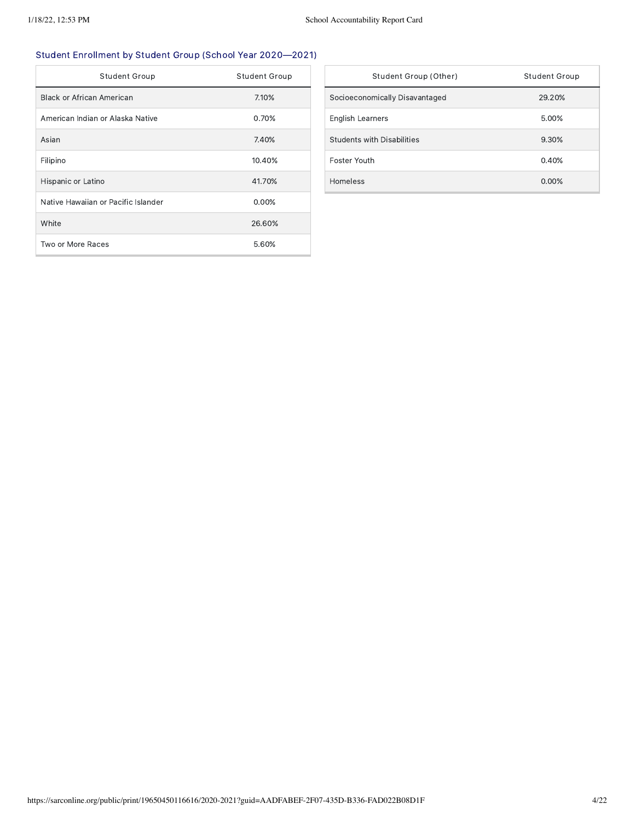# Student Enrollment by Student Group (School Year 2020—2021)

| <b>Student Group</b>                | <b>Student Group</b> |
|-------------------------------------|----------------------|
| Black or African American           | 7.10%                |
| American Indian or Alaska Native    | 0.70%                |
| Asian                               | 7.40%                |
| Filipino                            | 10.40%               |
| Hispanic or Latino                  | 41.70%               |
| Native Hawaiian or Pacific Islander | 0.00%                |
| White                               | 26.60%               |
| Two or More Races                   | 5.60%                |

| Student Group (Other)             | Student Group |
|-----------------------------------|---------------|
| Socioeconomically Disavantaged    | 29.20%        |
| <b>English Learners</b>           | 5.00%         |
| <b>Students with Disabilities</b> | 9.30%         |
| Foster Youth                      | 0.40%         |
| Homeless                          | $0.00\%$      |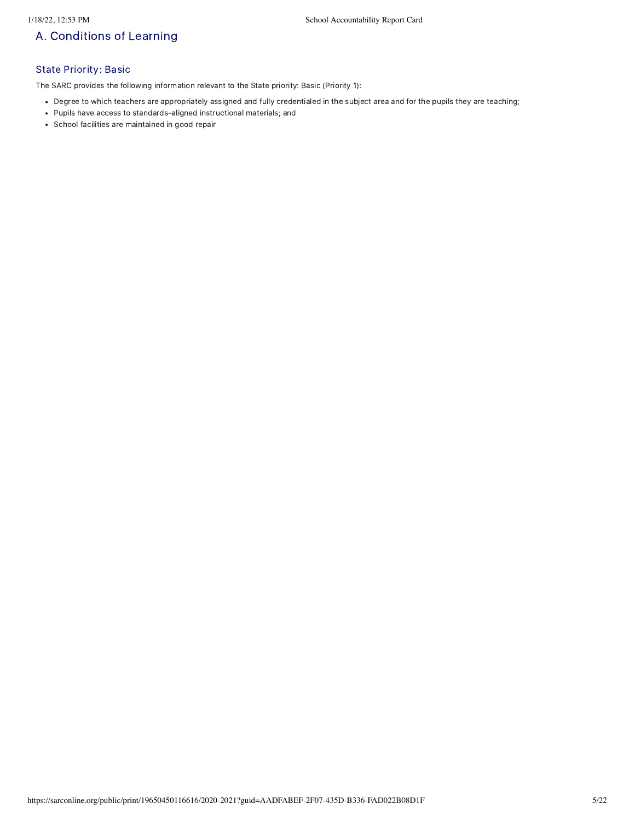# A. Conditions of Learning

### State Priority: Basic

The SARC provides the following information relevant to the State priority: Basic (Priority 1):

- Degree to which teachers are appropriately assigned and fully credentialed in the subject area and for the pupils they are teaching;
- Pupils have access to standards-aligned instructional materials; and
- School facilities are maintained in good repair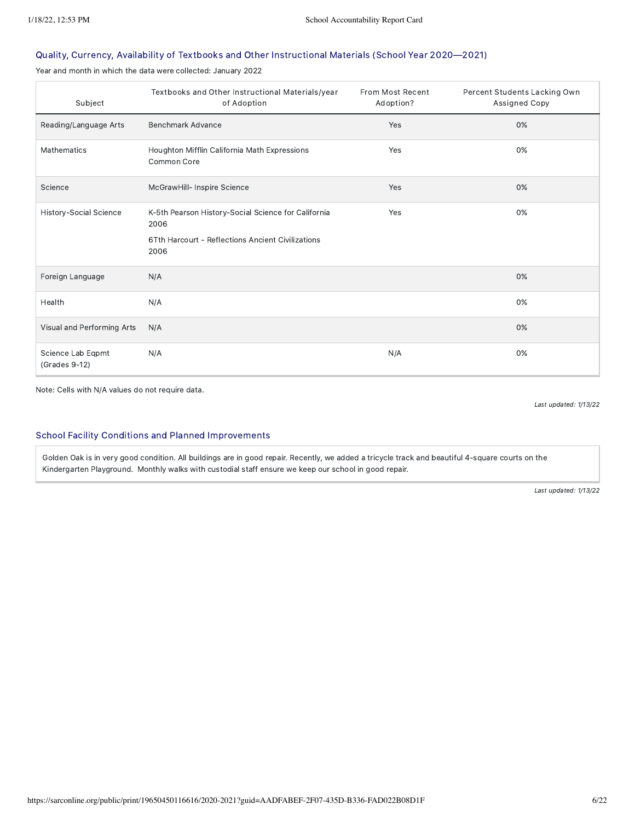### Quality, Currency, Availability of Textbooks and Other Instructional Materials (School Year 2020—2021)

Year and month in which the data were collected: January 2022

| Subject                            | Textbooks and Other Instructional Materials/year<br>of Adoption                                                          | From Most Recent<br>Adoption? | Percent Students Lacking Own<br>Assigned Copy |
|------------------------------------|--------------------------------------------------------------------------------------------------------------------------|-------------------------------|-----------------------------------------------|
| Reading/Language Arts              | Benchmark Advance                                                                                                        | Yes                           | 0%                                            |
| Mathematics                        | Houghton Mifflin California Math Expressions<br>Common Core                                                              | Yes                           | 0%                                            |
| Science                            | McGrawHill- Inspire Science                                                                                              | Yes                           | 0%                                            |
| History-Social Science             | K-5th Pearson History-Social Science for California<br>2006<br>6Tth Harcourt - Reflections Ancient Civilizations<br>2006 | Yes                           | 0%                                            |
| Foreign Language                   | N/A                                                                                                                      |                               | 0%                                            |
| Health                             | N/A                                                                                                                      |                               | 0%                                            |
| Visual and Performing Arts         | N/A                                                                                                                      |                               | 0%                                            |
| Science Lab Eqpmt<br>(Grades 9-12) | N/A                                                                                                                      | N/A                           | 0%                                            |

Note: Cells with N/A values do not require data.

Last updated: 1/13/22

#### School Facility Conditions and Planned Improvements

Golden Oak is in very good condition. All buildings are in good repair. Recently, we added a tricycle track and beautiful 4-square courts on the Kindergarten Playground. Monthly walks with custodial staff ensure we keep our school in good repair.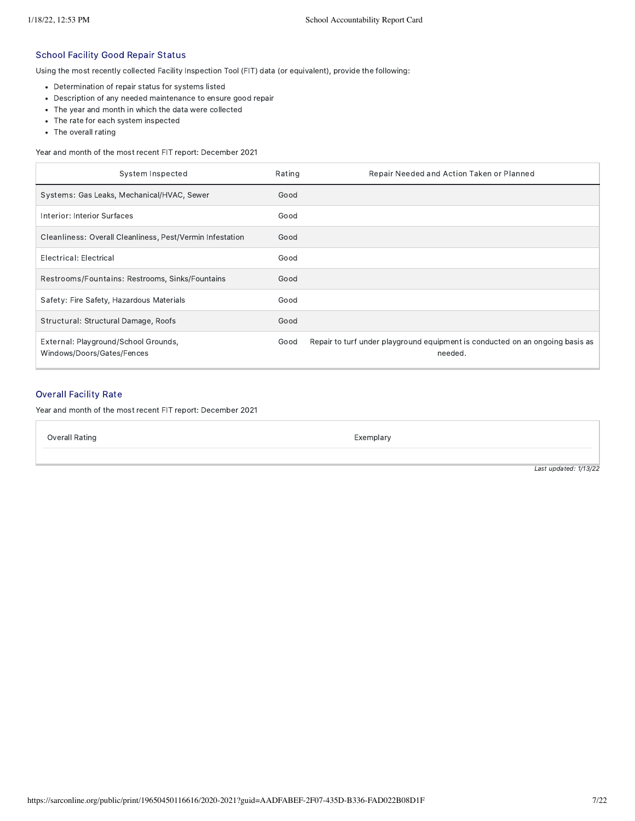#### School Facility Good Repair Status

Using the most recently collected Facility Inspection Tool (FIT) data (or equivalent), provide the following:

- Determination of repair status for systems listed
- Description of any needed maintenance to ensure good repair
- The year and month in which the data were collected
- The rate for each system inspected
- The overall rating

Year and month of the most recent FIT report: December 2021

| System Inspected                                                   | Rating | Repair Needed and Action Taken or Planned                                                |
|--------------------------------------------------------------------|--------|------------------------------------------------------------------------------------------|
| Systems: Gas Leaks, Mechanical/HVAC, Sewer                         | Good   |                                                                                          |
| Interior: Interior Surfaces                                        | Good   |                                                                                          |
| Cleanliness: Overall Cleanliness, Pest/Vermin Infestation          | Good   |                                                                                          |
| Electrical: Electrical                                             | Good   |                                                                                          |
| Restrooms/Fountains: Restrooms, Sinks/Fountains                    | Good   |                                                                                          |
| Safety: Fire Safety, Hazardous Materials                           | Good   |                                                                                          |
| Structural: Structural Damage, Roofs                               | Good   |                                                                                          |
| External: Playground/School Grounds,<br>Windows/Doors/Gates/Fences | Good   | Repair to turf under playground equipment is conducted on an ongoing basis as<br>needed. |

### Overall Facility Rate

Year and month of the most recent FIT report: December 2021

Overall Rating **Exemplary Exemplary**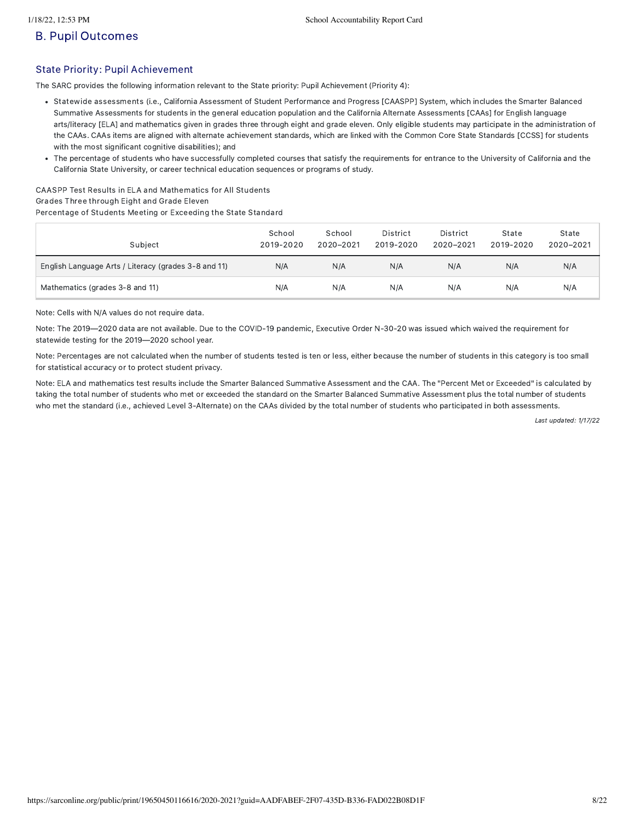# B. Pupil Outcomes

### State Priority: Pupil Achievement

The SARC provides the following information relevant to the State priority: Pupil Achievement (Priority 4):

- Statewide assessments (i.e., California Assessment of Student Performance and Progress [CAASPP] System, which includes the Smarter Balanced Summative Assessments for students in the general education population and the California Alternate Assessments [CAAs] for English language arts/literacy [ELA] and mathematics given in grades three through eight and grade eleven. Only eligible students may participate in the administration of the CAAs. CAAs items are aligned with alternate achievement standards, which are linked with the Common Core State Standards [CCSS] for students with the most significant cognitive disabilities); and
- The percentage of students who have successfully completed courses that satisfy the requirements for entrance to the University of California and the California State University, or career technical education sequences or programs of study.

CAASPP Test Results in ELA and Mathematics for All Students Grades Three through Eight and Grade Eleven Percentage of Students Meeting or Exceeding the State Standard

| Subject                                              | School<br>2019-2020 | School<br>2020-2021 | District<br>2019-2020 | District<br>2020-2021 | State<br>2019-2020 | State<br>2020-2021 |
|------------------------------------------------------|---------------------|---------------------|-----------------------|-----------------------|--------------------|--------------------|
| English Language Arts / Literacy (grades 3-8 and 11) | N/A                 | N/A                 | N/A                   | N/A                   | N/A                | N/A                |
| Mathematics (grades 3-8 and 11)                      | N/A                 | N/A                 | N/A                   | N/A                   | N/A                | N/A                |

Note: Cells with N/A values do not require data.

Note: The 2019—2020 data are not available. Due to the COVID-19 pandemic, Executive Order N-30-20 was issued which waived the requirement for statewide testing for the 2019—2020 school year.

Note: Percentages are not calculated when the number of students tested is ten or less, either because the number of students in this category is too small for statistical accuracy or to protect student privacy.

Note: ELA and mathematics test results include the Smarter Balanced Summative Assessment and the CAA. The "Percent Met or Exceeded" is calculated by taking the total number of students who met or exceeded the standard on the Smarter Balanced Summative Assessment plus the total number of students who met the standard (i.e., achieved Level 3-Alternate) on the CAAs divided by the total number of students who participated in both assessments.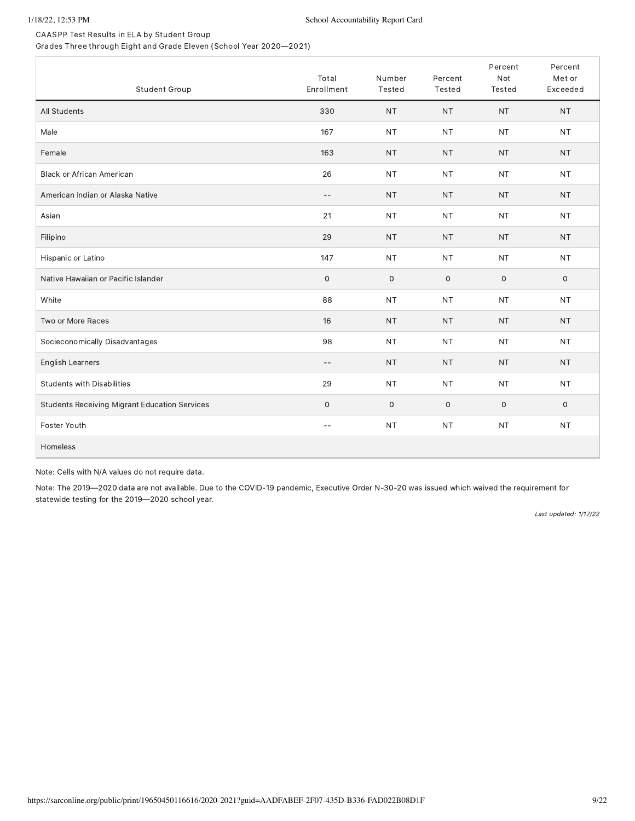CAASPP Test Results in ELA by Student Group Grades Three through Eight and Grade Eleven (School Year 2020—2021)

| Student Group                                        | Total<br>Enrollment      | Number<br>Tested    | Percent<br>Tested | Percent<br>Not<br>Tested | Percent<br>Met or<br>Exceeded |
|------------------------------------------------------|--------------------------|---------------------|-------------------|--------------------------|-------------------------------|
| All Students                                         | 330                      | <b>NT</b>           | <b>NT</b>         | <b>NT</b>                | <b>NT</b>                     |
| Male                                                 | 167                      | <b>NT</b>           | <b>NT</b>         | <b>NT</b>                | <b>NT</b>                     |
| Female                                               | 163                      | <b>NT</b>           | <b>NT</b>         | <b>NT</b>                | <b>NT</b>                     |
| <b>Black or African American</b>                     | 26                       | <b>NT</b>           | <b>NT</b>         | <b>NT</b>                | NT.                           |
| American Indian or Alaska Native                     | $-\,-$                   | <b>NT</b>           | <b>NT</b>         | <b>NT</b>                | <b>NT</b>                     |
| Asian                                                | 21                       | <b>NT</b>           | <b>NT</b>         | <b>NT</b>                | <b>NT</b>                     |
| Filipino                                             | 29                       | <b>NT</b>           | <b>NT</b>         | <b>NT</b>                | <b>NT</b>                     |
| Hispanic or Latino                                   | 147                      | <b>NT</b>           | <b>NT</b>         | <b>NT</b>                | <b>NT</b>                     |
| Native Hawaiian or Pacific Islander                  | $\mathbf 0$              | $\mathsf{O}\xspace$ | $\mathsf O$       | $\mathsf{O}\xspace$      | $\mathsf{O}$                  |
| White                                                | 88                       | <b>NT</b>           | <b>NT</b>         | <b>NT</b>                | <b>NT</b>                     |
| Two or More Races                                    | 16                       | <b>NT</b>           | <b>NT</b>         | <b>NT</b>                | <b>NT</b>                     |
| Socieconomically Disadvantages                       | 98                       | <b>NT</b>           | <b>NT</b>         | <b>NT</b>                | <b>NT</b>                     |
| English Learners                                     | $\sim$ $-$               | <b>NT</b>           | <b>NT</b>         | <b>NT</b>                | <b>NT</b>                     |
| <b>Students with Disabilities</b>                    | 29                       | <b>NT</b>           | <b>NT</b>         | <b>NT</b>                | NT.                           |
| <b>Students Receiving Migrant Education Services</b> | $\mathbf 0$              | $\mathsf{O}\xspace$ | $\mathbf 0$       | $\mathbf 0$              | 0                             |
| Foster Youth                                         | $\overline{\phantom{m}}$ | <b>NT</b>           | <b>NT</b>         | <b>NT</b>                | <b>NT</b>                     |
| Homeless                                             |                          |                     |                   |                          |                               |

Note: Cells with N/A values do not require data.

Note: The 2019—2020 data are not available. Due to the COVID-19 pandemic, Executive Order N-30-20 was issued which waived the requirement for statewide testing for the 2019—2020 school year.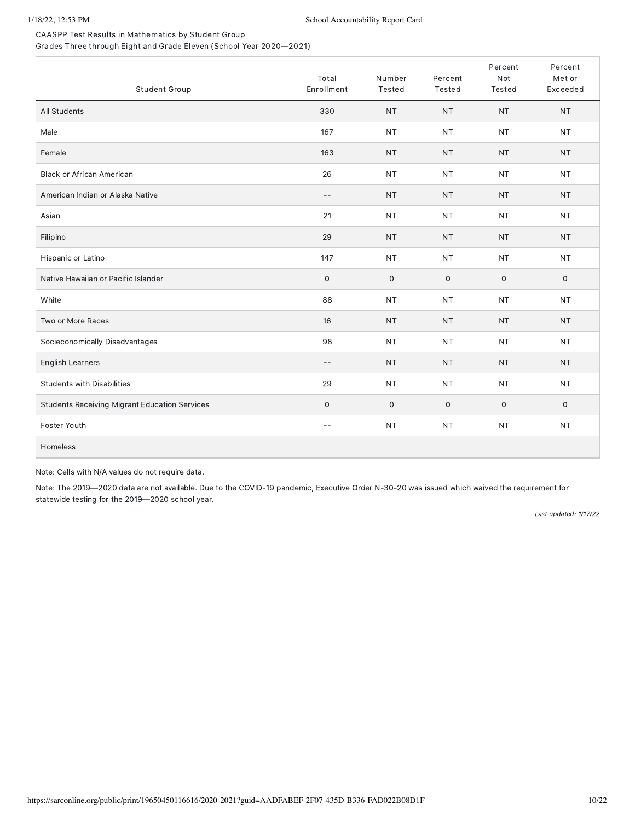CAASPP Test Results in Mathematics by Student Group Grades Three through Eight and Grade Eleven (School Year 2020—2021)

| Student Group                                        | Total<br>Enrollment | Number<br>Tested    | Percent<br>Tested | Percent<br>Not<br>Tested | Percent<br>Met or<br>Exceeded |
|------------------------------------------------------|---------------------|---------------------|-------------------|--------------------------|-------------------------------|
| All Students                                         | 330                 | <b>NT</b>           | <b>NT</b>         | <b>NT</b>                | <b>NT</b>                     |
| Male                                                 | 167                 | <b>NT</b>           | <b>NT</b>         | <b>NT</b>                | <b>NT</b>                     |
| Female                                               | 163                 | <b>NT</b>           | <b>NT</b>         | <b>NT</b>                | <b>NT</b>                     |
| <b>Black or African American</b>                     | 26                  | <b>NT</b>           | <b>NT</b>         | <b>NT</b>                | <b>NT</b>                     |
| American Indian or Alaska Native                     | $-\,-$              | <b>NT</b>           | <b>NT</b>         | <b>NT</b>                | <b>NT</b>                     |
| Asian                                                | 21                  | <b>NT</b>           | <b>NT</b>         | <b>NT</b>                | <b>NT</b>                     |
| Filipino                                             | 29                  | <b>NT</b>           | <b>NT</b>         | <b>NT</b>                | <b>NT</b>                     |
| Hispanic or Latino                                   | 147                 | <b>NT</b>           | <b>NT</b>         | <b>NT</b>                | <b>NT</b>                     |
| Native Hawaiian or Pacific Islander                  | $\mathsf{O}\xspace$ | $\mathsf{O}\xspace$ | $\mathbf 0$       | 0                        | 0                             |
| White                                                | 88                  | <b>NT</b>           | <b>NT</b>         | <b>NT</b>                | <b>NT</b>                     |
| Two or More Races                                    | 16                  | <b>NT</b>           | <b>NT</b>         | <b>NT</b>                | <b>NT</b>                     |
| Socieconomically Disadvantages                       | 98                  | <b>NT</b>           | <b>NT</b>         | <b>NT</b>                | <b>NT</b>                     |
| English Learners                                     | $-$                 | <b>NT</b>           | <b>NT</b>         | <b>NT</b>                | <b>NT</b>                     |
| <b>Students with Disabilities</b>                    | 29                  | <b>NT</b>           | <b>NT</b>         | <b>NT</b>                | <b>NT</b>                     |
| <b>Students Receiving Migrant Education Services</b> | $\mathbf 0$         | $\mathsf{O}$        | $\mathbf 0$       | $\mathbf 0$              | $\mathsf{O}$                  |
| Foster Youth                                         | $-$                 | <b>NT</b>           | <b>NT</b>         | <b>NT</b>                | <b>NT</b>                     |
| Homeless                                             |                     |                     |                   |                          |                               |

Note: Cells with N/A values do not require data.

Note: The 2019—2020 data are not available. Due to the COVID-19 pandemic, Executive Order N-30-20 was issued which waived the requirement for statewide testing for the 2019—2020 school year.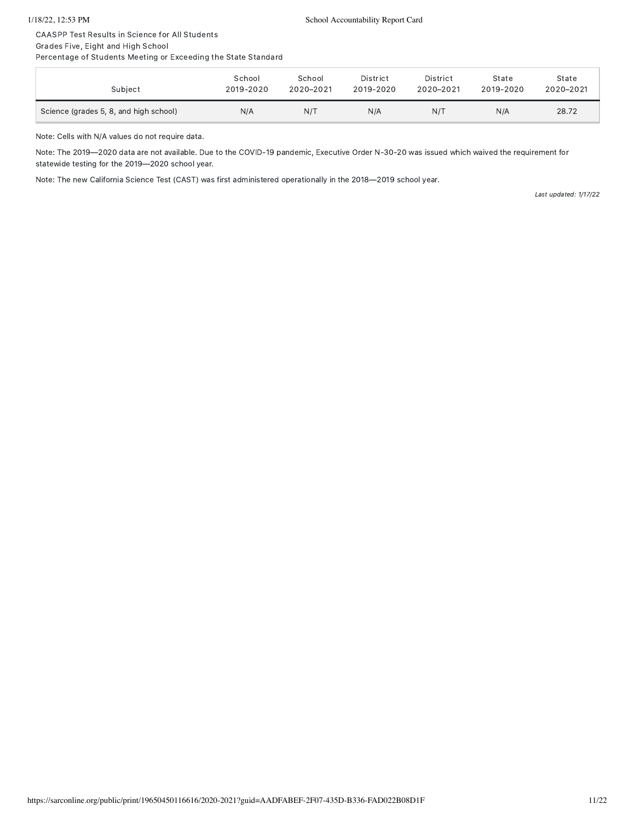CAASPP Test Results in Science for All Students Grades Five, Eight and High School

Percentage of Students Meeting or Exceeding the State Standard

| Subject                                | School    | School    | District  | District  | State     | State     |
|----------------------------------------|-----------|-----------|-----------|-----------|-----------|-----------|
|                                        | 2019-2020 | 2020-2021 | 2019-2020 | 2020-2021 | 2019-2020 | 2020-2021 |
| Science (grades 5, 8, and high school) | N/A       | N/T       | N/A       | N/T       | N/A       | 28.72     |

Note: Cells with N/A values do not require data.

Note: The 2019—2020 data are not available. Due to the COVID-19 pandemic, Executive Order N-30-20 was issued which waived the requirement for statewide testing for the 2019—2020 school year.

Note: The new California Science Test (CAST) was first administered operationally in the 2018—2019 school year.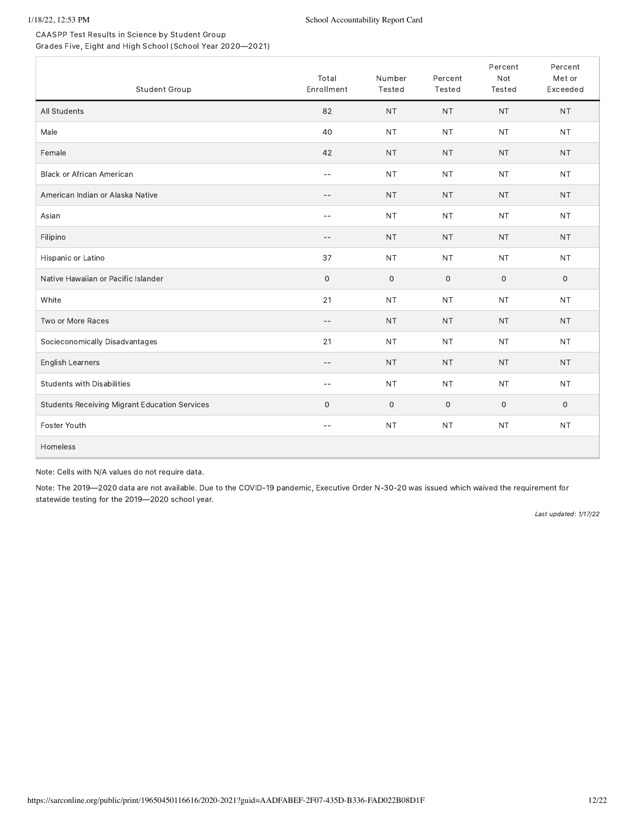CAASPP Test Results in Science by Student Group Grades Five, Eight and High School (School Year 2020—2021)

| Student Group                                        | Total<br>Enrollment      | Number<br>Tested    | Percent<br>Tested   | Percent<br>Not<br>Tested | Percent<br>Met or<br>Exceeded |
|------------------------------------------------------|--------------------------|---------------------|---------------------|--------------------------|-------------------------------|
| All Students                                         | 82                       | <b>NT</b>           | <b>NT</b>           | <b>NT</b>                | <b>NT</b>                     |
| Male                                                 | 40                       | <b>NT</b>           | <b>NT</b>           | <b>NT</b>                | <b>NT</b>                     |
| Female                                               | 42                       | <b>NT</b>           | <b>NT</b>           | <b>NT</b>                | <b>NT</b>                     |
| <b>Black or African American</b>                     | $-$                      | <b>NT</b>           | <b>NT</b>           | <b>NT</b>                | <b>NT</b>                     |
| American Indian or Alaska Native                     | $-$                      | <b>NT</b>           | <b>NT</b>           | <b>NT</b>                | <b>NT</b>                     |
| Asian                                                | $-$                      | <b>NT</b>           | <b>NT</b>           | <b>NT</b>                | <b>NT</b>                     |
| Filipino                                             | $-$                      | <b>NT</b>           | <b>NT</b>           | <b>NT</b>                | <b>NT</b>                     |
| Hispanic or Latino                                   | 37                       | <b>NT</b>           | <b>NT</b>           | <b>NT</b>                | <b>NT</b>                     |
| Native Hawaiian or Pacific Islander                  | $\mathsf{O}\xspace$      | $\mathsf{O}\xspace$ | $\mathsf{O}\xspace$ | $\mathbf{O}$             | $\mathsf{O}$                  |
| White                                                | 21                       | <b>NT</b>           | <b>NT</b>           | <b>NT</b>                | <b>NT</b>                     |
| Two or More Races                                    | $-$                      | <b>NT</b>           | <b>NT</b>           | <b>NT</b>                | <b>NT</b>                     |
| Socieconomically Disadvantages                       | 21                       | <b>NT</b>           | <b>NT</b>           | <b>NT</b>                | <b>NT</b>                     |
| English Learners                                     | $-$                      | <b>NT</b>           | <b>NT</b>           | <b>NT</b>                | <b>NT</b>                     |
| <b>Students with Disabilities</b>                    | $-$                      | <b>NT</b>           | $\sf{NT}$           | <b>NT</b>                | <b>NT</b>                     |
| <b>Students Receiving Migrant Education Services</b> | $\mathbf 0$              | $\mathsf{O}$        | $\mathsf{O}\xspace$ | 0                        | $\mathbf 0$                   |
| Foster Youth                                         | $\overline{\phantom{m}}$ | <b>NT</b>           | <b>NT</b>           | <b>NT</b>                | <b>NT</b>                     |
| Homeless                                             |                          |                     |                     |                          |                               |

Note: Cells with N/A values do not require data.

Note: The 2019—2020 data are not available. Due to the COVID-19 pandemic, Executive Order N-30-20 was issued which waived the requirement for statewide testing for the 2019—2020 school year.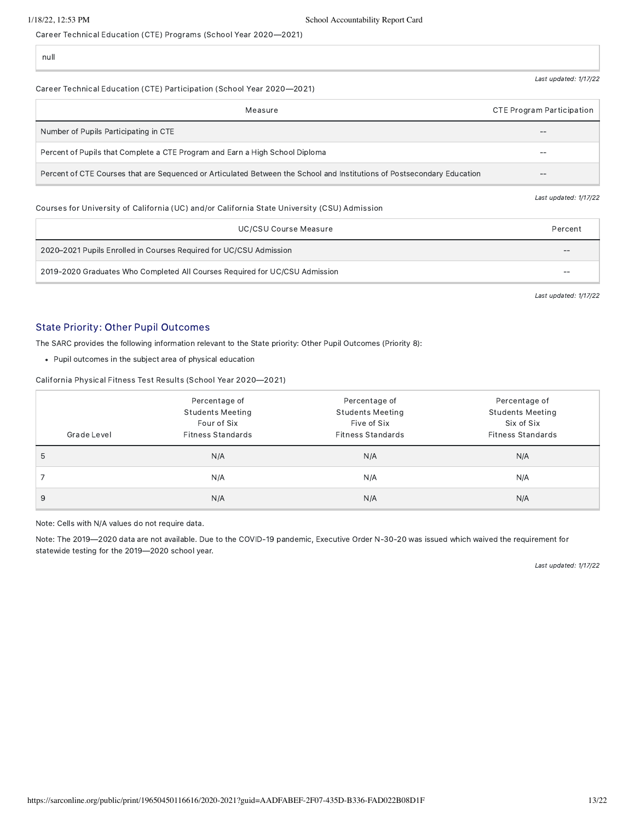Career Technical Education (CTE) Programs (School Year 2020—2021)

null

#### Career Technical Education (CTE) Participation (School Year 2020—2021)

| Measure                                                                                                                 | <b>CTE Program Participation</b> |
|-------------------------------------------------------------------------------------------------------------------------|----------------------------------|
| Number of Pupils Participating in CTE                                                                                   |                                  |
| Percent of Pupils that Complete a CTE Program and Earn a High School Diploma                                            | --                               |
| Percent of CTE Courses that are Sequenced or Articulated Between the School and Institutions of Postsecondary Education |                                  |

#### Courses for University of California (UC) and/or California State University (CSU) Admission

| UC/CSU Course Measure                                                       | Percent |
|-----------------------------------------------------------------------------|---------|
| 2020–2021 Pupils Enrolled in Courses Required for UC/CSU Admission          | $-$     |
| 2019-2020 Graduates Who Completed All Courses Required for UC/CSU Admission | $- -$   |

Last updated: 1/17/22

Last updated: 1/17/22

Last updated: 1/17/22

### State Priority: Other Pupil Outcomes

The SARC provides the following information relevant to the State priority: Other Pupil Outcomes (Priority 8):

Pupil outcomes in the subject area of physical education

California Physical Fitness Test Results (School Year 2020—2021)

|             | Percentage of            | Percentage of            | Percentage of            |
|-------------|--------------------------|--------------------------|--------------------------|
|             | <b>Students Meeting</b>  | <b>Students Meeting</b>  | <b>Students Meeting</b>  |
|             | Four of Six              | Five of Six              | Six of Six               |
| Grade Level | <b>Fitness Standards</b> | <b>Fitness Standards</b> | <b>Fitness Standards</b> |
| 5           | N/A                      | N/A                      | N/A                      |
|             | N/A                      | N/A                      | N/A                      |
| 9           | N/A                      | N/A                      | N/A                      |

Note: Cells with N/A values do not require data.

Note: The 2019—2020 data are not available. Due to the COVID-19 pandemic, Executive Order N-30-20 was issued which waived the requirement for statewide testing for the 2019—2020 school year.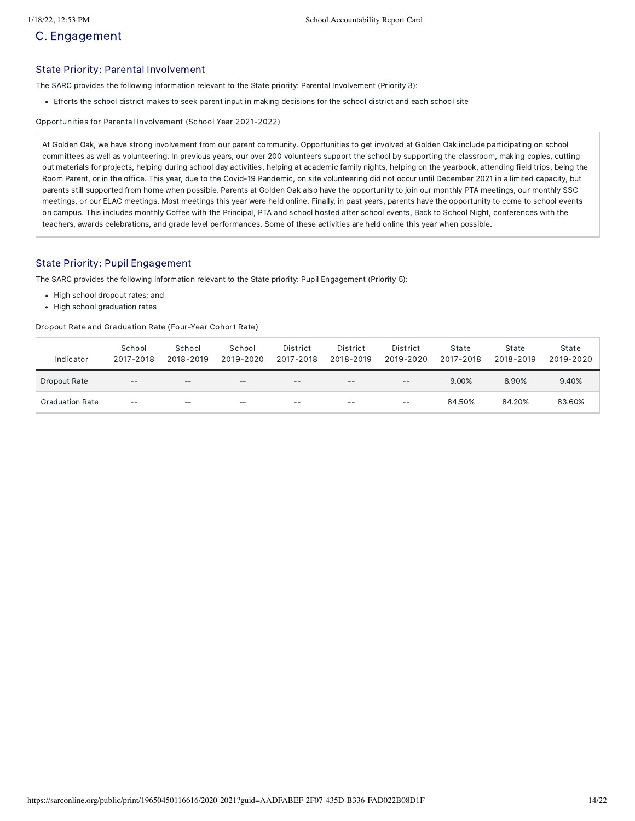# C. Engagement

#### State Priority: Parental Involvement

The SARC provides the following information relevant to the State priority: Parental Involvement (Priority 3):

Efforts the school district makes to seek parent input in making decisions for the school district and each school site

Opportunities for Parental Involvement (School Year 2021-2022)

At Golden Oak, we have strong involvement from our parent community. Opportunities to get involved at Golden Oak include participating on school committees as well as volunteering. In previous years, our over 200 volunteers support the school by supporting the classroom, making copies, cutting out materials for projects, helping during school day activities, helping at academic family nights, helping on the yearbook, attending field trips, being the Room Parent, or in the office. This year, due to the Covid-19 Pandemic, on site volunteering did not occur until December 2021 in a limited capacity, but parents still supported from home when possible. Parents at Golden Oak also have the opportunity to join our monthly PTA meetings, our monthly SSC meetings, or our ELAC meetings. Most meetings this year were held online. Finally, in past years, parents have the opportunity to come to school events on campus. This includes monthly Coffee with the Principal, PTA and school hosted after school events, Back to School Night, conferences with the teachers, awards celebrations, and grade level performances. Some of these activities are held online this year when possible.

### State Priority: Pupil Engagement

The SARC provides the following information relevant to the State priority: Pupil Engagement (Priority 5):

- High school dropout rates; and
- High school graduation rates

Dropout Rate and Graduation Rate (Four-Year Cohort Rate)

| Indicator              | School<br>2017-2018 | School<br>2018-2019 | School<br>2019-2020 | District<br>2017-2018 | District<br>2018-2019 | District<br>2019-2020 | State<br>2017-2018 | State<br>2018-2019 | State<br>2019-2020 |
|------------------------|---------------------|---------------------|---------------------|-----------------------|-----------------------|-----------------------|--------------------|--------------------|--------------------|
| Dropout Rate           | $- -$               | --                  | $- -$               | $- -$                 | $- -$                 | $- -$                 | 9.00%              | 8.90%              | 9.40%              |
| <b>Graduation Rate</b> | $- -$               | $- -$               | $- -$               | $- -$                 | $- -$                 | $- -$                 | 84.50%             | 84.20%             | 83.60%             |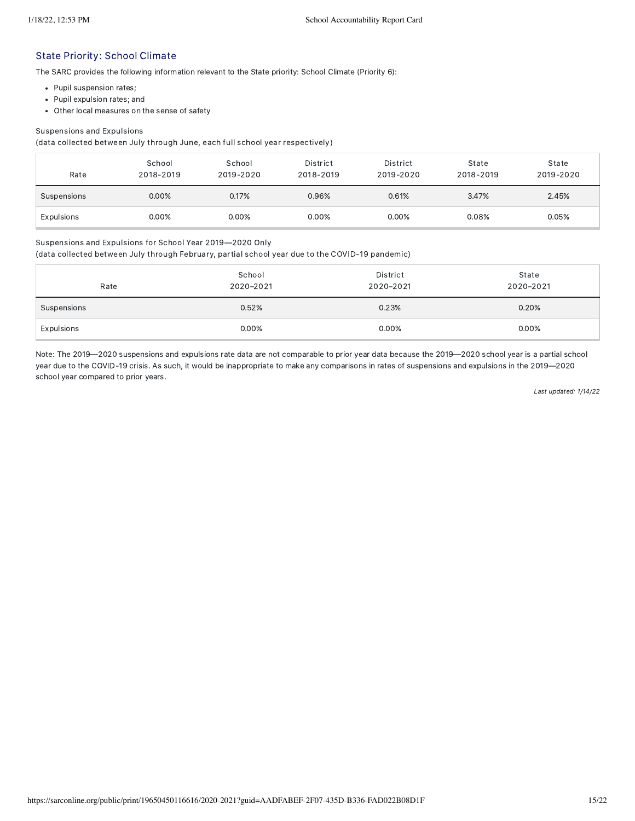### State Priority: School Climate

The SARC provides the following information relevant to the State priority: School Climate (Priority 6):

- Pupil suspension rates;
- Pupil expulsion rates; and
- Other local measures on the sense of safety

#### Suspensions and Expulsions

(data collected between July through June, each full school year respectively)

| Rate        | School<br>2018-2019 | School<br>2019-2020 | District<br>2018-2019 | District<br>2019-2020 | State<br>2018-2019 | State<br>2019-2020 |
|-------------|---------------------|---------------------|-----------------------|-----------------------|--------------------|--------------------|
| Suspensions | 0.00%               | 0.17%               | 0.96%                 | 0.61%                 | 3.47%              | 2.45%              |
| Expulsions  | 0.00%               | $0.00\%$            | 0.00%                 | 0.00%                 | 0.08%              | 0.05%              |

#### Suspensions and Expulsions for School Year 2019—2020 Only

(data collected between July through February, partial school year due to the COVID-19 pandemic)

| Rate        | School<br>2020-2021 | District<br>2020-2021 | State<br>2020-2021 |
|-------------|---------------------|-----------------------|--------------------|
| Suspensions | 0.52%               | 0.23%                 | 0.20%              |
| Expulsions  | 0.00%               | 0.00%                 | 0.00%              |

Note: The 2019—2020 suspensions and expulsions rate data are not comparable to prior year data because the 2019—2020 school year is a partial school year due to the COVID-19 crisis. As such, it would be inappropriate to make any comparisons in rates of suspensions and expulsions in the 2019—2020 school year compared to prior years.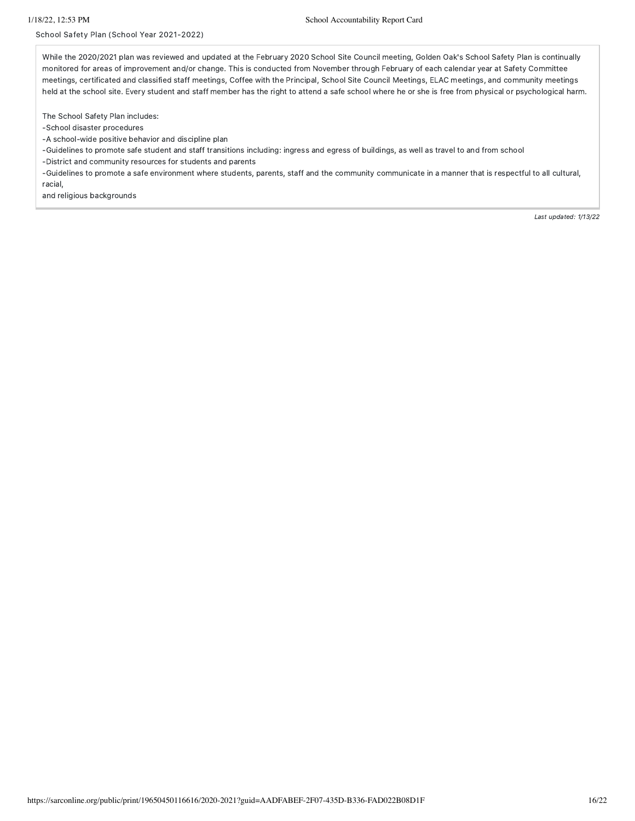#### School Safety Plan (School Year 2021-2022)

While the 2020/2021 plan was reviewed and updated at the February 2020 School Site Council meeting, Golden Oak's School Safety Plan is continually monitored for areas of improvement and/or change. This is conducted from November through February of each calendar year at Safety Committee meetings, certificated and classified staff meetings, Coffee with the Principal, School Site Council Meetings, ELAC meetings, and community meetings held at the school site. Every student and staff member has the right to attend a safe school where he or she is free from physical or psychological harm.

The School Safety Plan includes:

-School disaster procedures

-A school-wide positive behavior and discipline plan

-Guidelines to promote safe student and staff transitions including: ingress and egress of buildings, as well as travel to and from school

-District and community resources for students and parents

-Guidelines to promote a safe environment where students, parents, staff and the community communicate in a manner that is respectful to all cultural, racial,

and religious backgrounds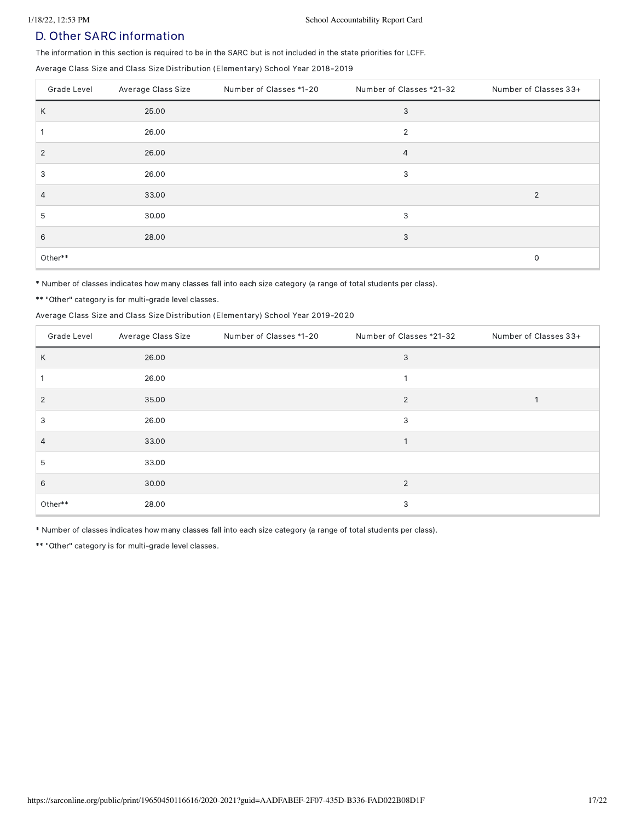## D. Other SARC information

The information in this section is required to be in the SARC but is not included in the state priorities for LCFF.

Average Class Size and Class Size Distribution (Elementary) School Year 2018-2019

| Grade Level    | Average Class Size | Number of Classes *1-20 | Number of Classes *21-32 | Number of Classes 33+ |
|----------------|--------------------|-------------------------|--------------------------|-----------------------|
| Κ              | 25.00              |                         | 3                        |                       |
|                | 26.00              |                         | $\overline{2}$           |                       |
| $\overline{2}$ | 26.00              |                         | 4                        |                       |
| 3              | 26.00              |                         | 3                        |                       |
| 4              | 33.00              |                         |                          | $\overline{2}$        |
| 5              | 30.00              |                         | 3                        |                       |
| 6              | 28.00              |                         | 3                        |                       |
| Other**        |                    |                         |                          | $\mathbf 0$           |

\* Number of classes indicates how many classes fall into each size category (a range of total students per class).

\*\* "Other" category is for multi-grade level classes.

#### Average Class Size and Class Size Distribution (Elementary) School Year 2019-2020

| Grade Level    | Average Class Size | Number of Classes *1-20 | Number of Classes *21-32 | Number of Classes 33+ |
|----------------|--------------------|-------------------------|--------------------------|-----------------------|
| Κ              | 26.00              |                         | 3                        |                       |
|                | 26.00              |                         |                          |                       |
| $\overline{2}$ | 35.00              |                         | $\overline{2}$           |                       |
| 3              | 26.00              |                         | 3                        |                       |
| 4              | 33.00              |                         | 1                        |                       |
| 5              | 33.00              |                         |                          |                       |
| 6              | 30.00              |                         | 2                        |                       |
| Other**        | 28.00              |                         | 3                        |                       |

\* Number of classes indicates how many classes fall into each size category (a range of total students per class).

\*\* "Other" category is for multi-grade level classes.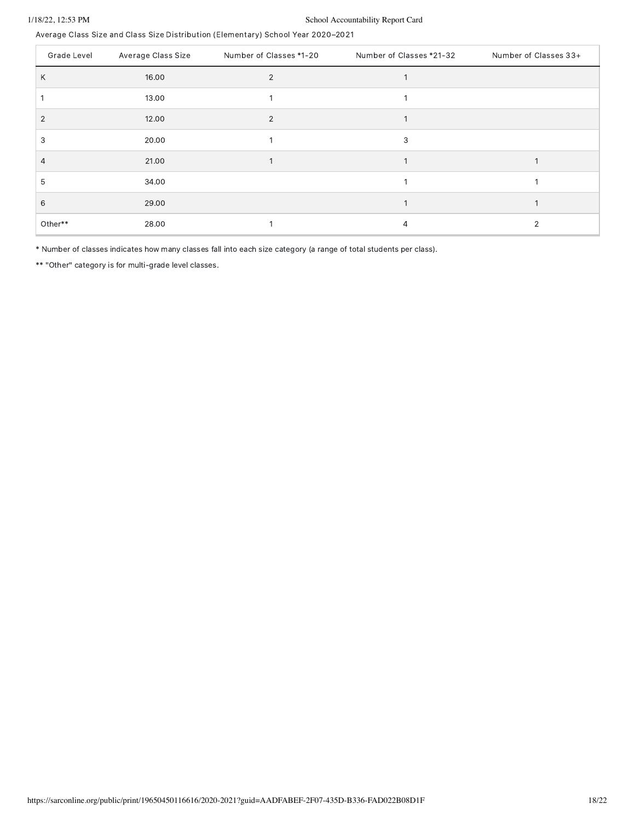### 1/18/22, 12:53 PM School Accountability Report Card

Average Class Size and Class Size Distribution (Elementary) School Year 2020–2021

| Grade Level | Average Class Size | Number of Classes *1-20 | Number of Classes *21-32 | Number of Classes 33+ |
|-------------|--------------------|-------------------------|--------------------------|-----------------------|
| Κ           | 16.00              | 2                       |                          |                       |
|             | 13.00              |                         |                          |                       |
| 2           | 12.00              | $\overline{2}$          |                          |                       |
| 3           | 20.00              |                         | 3                        |                       |
| 4           | 21.00              |                         |                          |                       |
| 5           | 34.00              |                         |                          |                       |
| 6           | 29.00              |                         |                          |                       |
| Other**     | 28.00              |                         | 4                        | 2                     |

\* Number of classes indicates how many classes fall into each size category (a range of total students per class).

\*\* "Other" category is for multi-grade level classes.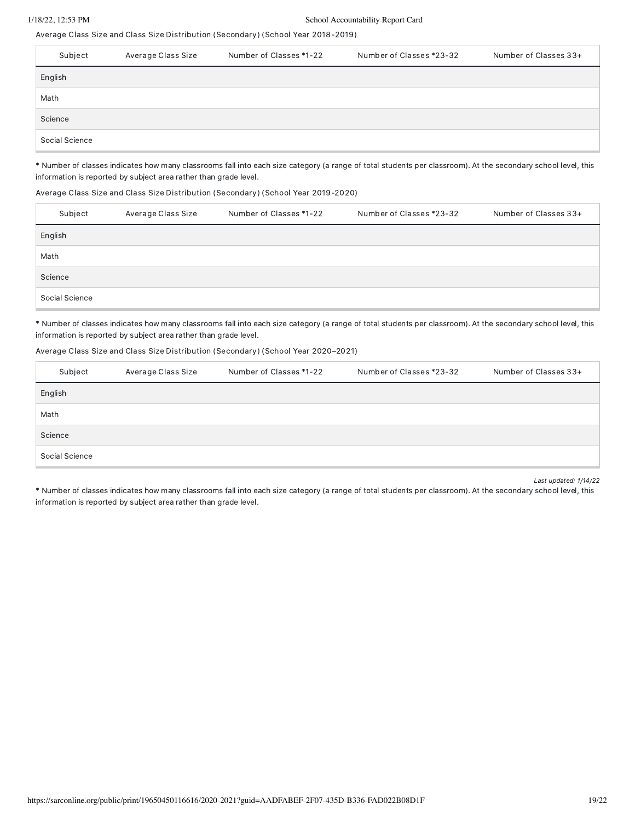#### 1/18/22, 12:53 PM School Accountability Report Card

Average Class Size and Class Size Distribution (Secondary) (School Year 2018-2019)

| Subject        | Average Class Size | Number of Classes *1-22 | Number of Classes *23-32 | Number of Classes 33+ |
|----------------|--------------------|-------------------------|--------------------------|-----------------------|
| English        |                    |                         |                          |                       |
| Math           |                    |                         |                          |                       |
| Science        |                    |                         |                          |                       |
| Social Science |                    |                         |                          |                       |

\* Number of classes indicates how many classrooms fall into each size category (a range of total students per classroom). At the secondary school level, this information is reported by subject area rather than grade level.

#### Average Class Size and Class Size Distribution (Secondary) (School Year 2019-2020)

| Subject        | Average Class Size | Number of Classes *1-22 | Number of Classes *23-32 | Number of Classes 33+ |
|----------------|--------------------|-------------------------|--------------------------|-----------------------|
| English        |                    |                         |                          |                       |
| Math           |                    |                         |                          |                       |
| Science        |                    |                         |                          |                       |
| Social Science |                    |                         |                          |                       |

\* Number of classes indicates how many classrooms fall into each size category (a range of total students per classroom). At the secondary school level, this information is reported by subject area rather than grade level.

#### Average Class Size and Class Size Distribution (Secondary) (School Year 2020–2021)

| Subject        | Average Class Size | Number of Classes *1-22 | Number of Classes *23-32 | Number of Classes 33+ |
|----------------|--------------------|-------------------------|--------------------------|-----------------------|
| English        |                    |                         |                          |                       |
| Math           |                    |                         |                          |                       |
| Science        |                    |                         |                          |                       |
| Social Science |                    |                         |                          |                       |

Last updated: 1/14/22

\* Number of classes indicates how many classrooms fall into each size category (a range of total students per classroom). At the secondary school level, this information is reported by subject area rather than grade level.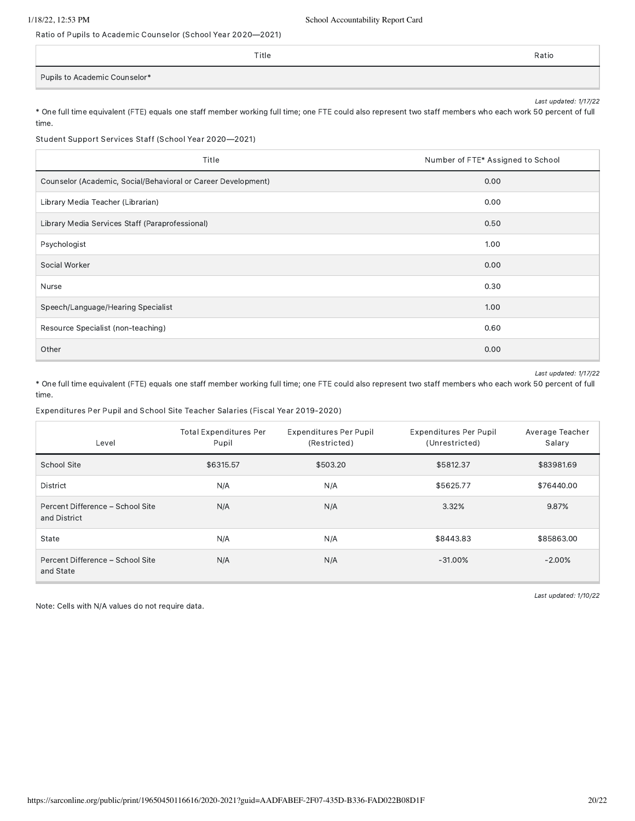time.

Ratio of Pupils to Academic Counselor (School Year 2020—2021)

|                               | Title | Ratio |
|-------------------------------|-------|-------|
| Pupils to Academic Counselor* |       |       |

Last updated: 1/17/22 \* One full time equivalent (FTE) equals one staff member working full time; one FTE could also represent two staff members who each work 50 percent of full

Student Support Services Staff (School Year 2020—2021)

| Title                                                         | Number of FTE* Assigned to School |  |  |
|---------------------------------------------------------------|-----------------------------------|--|--|
| Counselor (Academic, Social/Behavioral or Career Development) | 0.00                              |  |  |
| Library Media Teacher (Librarian)                             | 0.00                              |  |  |
| Library Media Services Staff (Paraprofessional)               | 0.50                              |  |  |
| Psychologist                                                  | 1.00                              |  |  |
| Social Worker                                                 | 0.00                              |  |  |
| Nurse                                                         | 0.30                              |  |  |
| Speech/Language/Hearing Specialist                            | 1.00                              |  |  |
| Resource Specialist (non-teaching)                            | 0.60                              |  |  |
| Other                                                         | 0.00                              |  |  |

Last updated: 1/17/22

\* One full time equivalent (FTE) equals one staff member working full time; one FTE could also represent two staff members who each work 50 percent of full time.

Expenditures Per Pupil and School Site Teacher Salaries (Fiscal Year 2019-2020)

| Level                                            | <b>Total Expenditures Per</b><br>Pupil | <b>Expenditures Per Pupil</b><br>(Restricted) | <b>Expenditures Per Pupil</b><br>(Unrestricted) | Average Teacher<br>Salary |
|--------------------------------------------------|----------------------------------------|-----------------------------------------------|-------------------------------------------------|---------------------------|
| School Site                                      | \$6315.57                              | \$503.20                                      | \$5812.37                                       | \$83981.69                |
| District                                         | N/A                                    | N/A                                           | \$5625.77                                       | \$76440.00                |
| Percent Difference - School Site<br>and District | N/A                                    | N/A                                           | 3.32%                                           | 9.87%                     |
| State                                            | N/A                                    | N/A                                           | \$8443.83                                       | \$85863.00                |
| Percent Difference - School Site<br>and State    | N/A                                    | N/A                                           | $-31.00\%$                                      | $-2.00%$                  |

Note: Cells with N/A values do not require data.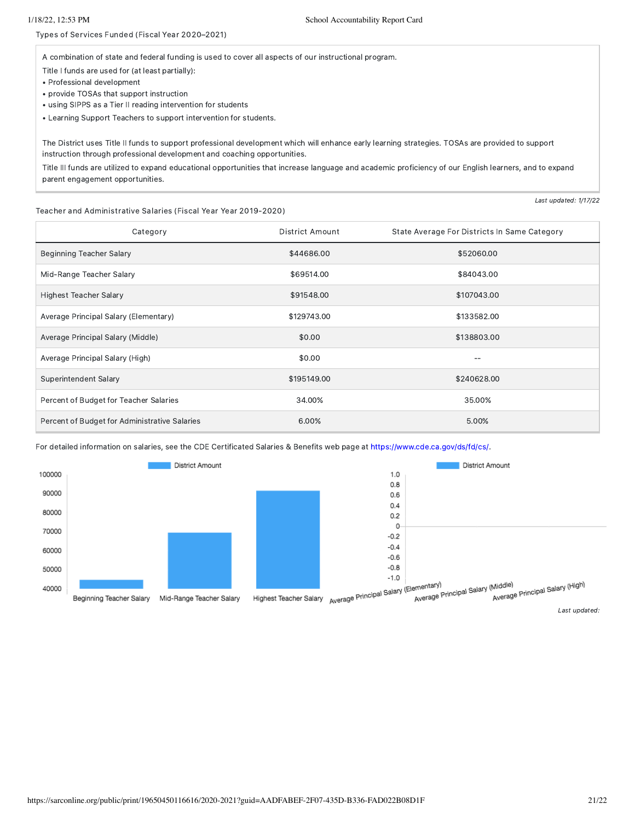Types of Services Funded (Fiscal Year 2020–2021)

A combination of state and federal funding is used to cover all aspects of our instructional program.

Title I funds are used for (at least partially):

- Professional development
- provide TOSAs that support instruction
- using SIPPS as a Tier II reading intervention for students
- Learning Support Teachers to support intervention for students.

The District uses Title II funds to support professional development which will enhance early learning strategies. TOSAs are provided to support instruction through professional development and coaching opportunities.

Title III funds are utilized to expand educational opportunities that increase language and academic proficiency of our English learners, and to expand parent engagement opportunities.

#### Teacher and Administrative Salaries (Fiscal Year Year 2019-2020)

Category **Category District Amount** State Average For Districts In Same Category Beginning Teacher Salary **\$44686.00** \$52060.00 \$52060.00 Mid-Range Teacher Salary **\$69514.00** \$84043.00 Highest Teacher Salary **\$107043.00** \$107043.00 \$107043.00 Average Principal Salary (Elementary) 6133582.00 \$129743.00 Average Principal Salary (Middle) \$138803.00 \$138803.00 \$138803.00 \$138803.00 Average Principal Salary (High) **60.00** -- **60.00** -- **60.00** -- **60.00** -- **60.00** --Superintendent Salary \$195149.00 \$195149.00 \$240628.00 Percent of Budget for Teacher Salaries 35.00% 34.00% 35.00% 35.00% Percent of Budget for Administrative Salaries 6.00% 5.00% 5.00% 5.00% 5.00% 5.00% 5.00% 5.00% 5.00% 5.00% 5.00%

For detailed information on salaries, see the CDE Certificated Salaries & Benefits web page at [https://www.cde.ca.gov/ds/fd/cs/.](https://www.cde.ca.gov/ds/fd/cs/)